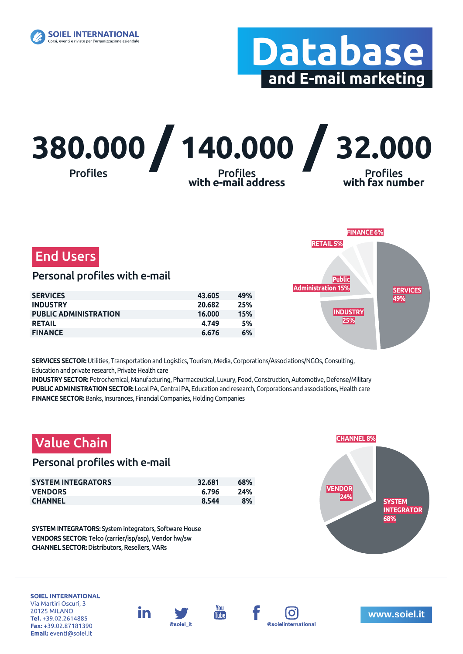

# **Database and E-mail marketing**





### Personal profiles with e-mail

| <b>SERVICES</b>              | 43.605 | 49% |
|------------------------------|--------|-----|
| <b>INDUSTRY</b>              | 20.682 | 25% |
| <b>PUBLIC ADMINISTRATION</b> | 16.000 | 15% |
| <b>RETAIL</b>                | 4.749  | 5%  |
| <b>FINANCE</b>               | 6.676  | 6%  |



**SERVICES SECTOR:** Utilities, Transportation and Logistics, Tourism, Media, Corporations/Associations/NGOs, Consulting, Education and private research, Private Health care

**INDUSTRY SECTOR:** Petrochemical, Manufacturing, Pharmaceutical, Luxury, Food, Construction, Automotive, Defense/Military **PUBLIC ADMINISTRATION SECTOR:** Local PA, Central PA, Education and research, Corporations and associations, Health care **FINANCE SECTOR:** Banks, Insurances, Financial Companies, Holding Companies



**SYSTEM INTEGRATORS:** System integrators, Software House **VENDORS SECTOR:** Telco (carrier/isp/asp), Vendor hw/sw **CHANNEL SECTOR:** Distributors, Resellers, VARs



**SOIEL INTERNATIONAL** Via Martiri Oscuri, 3 **20125 MILANO** Tel. +39.02.2614885 Fax: +39.02.87181390 Email: eventi@soiel.it





**Tube**